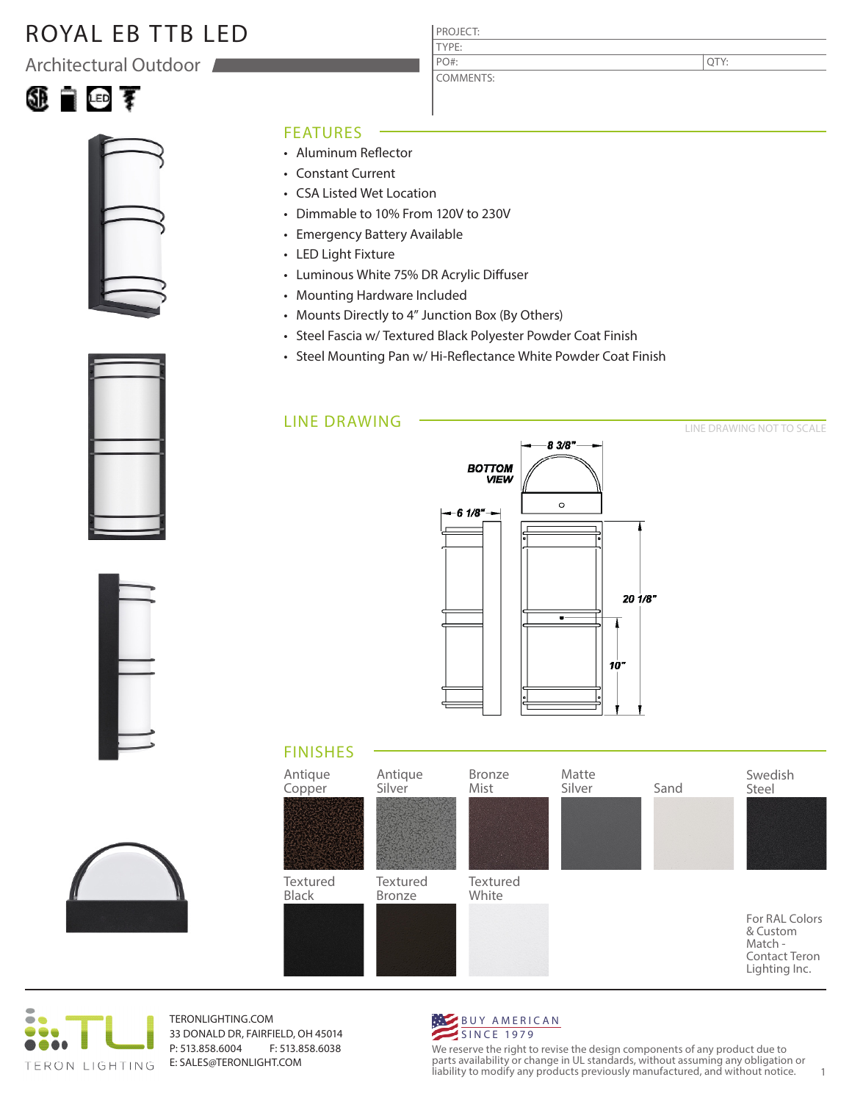## ROYAL EB TTB LED

Architectural Outdoor





- Aluminum Reflector
- Constant Current
- CSA Listed Wet Location
- Dimmable to 10% From 120V to 230V
- Emergency Battery Available
- LED Light Fixture
- Luminous White 75% DR Acrylic Diffuser
- Mounting Hardware Included
- Mounts Directly to 4" Junction Box (By Others)
- Steel Fascia w/ Textured Black Polyester Powder Coat Finish

PROJECT: TYPE:

PO#:

COMMENTS:

• Steel Mounting Pan w/ Hi-Reflectance White Powder Coat Finish

#### LINE DRAWING



### FINISHES





TERONLIGHTING.COM 33 DONALD DR, FAIRFIELD, OH 45014 P: 513.858.6004 F: 513.858.6038 E: SALES@TERONLIGHT.COM



We reserve the right to revise the design components of any product due to parts availability or change in UL standards, without assuming any obligation or liability to modify any products previously manufactured, and without notice. 1







QTY:

LINE DRAWING NOT TO SCALE